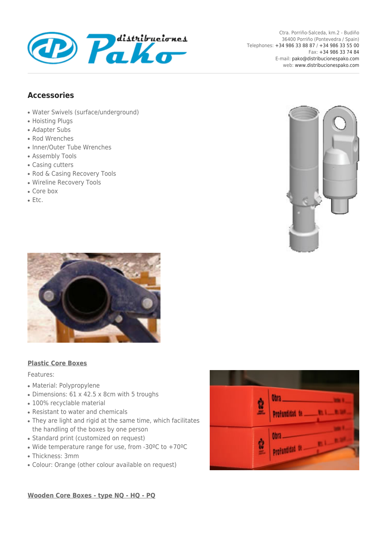

## **Accessories**

- Water Swivels (surface/underground)
- Hoisting Plugs
- Adapter Subs
- Rod Wrenches
- Inner/Outer Tube Wrenches
- Assembly Tools
- Casing cutters
- Rod & Casing Recovery Tools
- Wireline Recovery Tools
- Core box
- Etc.





## **Plastic Core Boxes**

## Features:

- Material: Polypropylene
- Dimensions: 61 x 42.5 x 8cm with 5 troughs
- 100% recyclable material
- Resistant to water and chemicals
- They are light and rigid at the same time, which facilitates the handling of the boxes by one person
- Standard print (customized on request)
- Wide temperature range for use, from -30 $^{\circ}$ C to +70 $^{\circ}$ C
- Thickness: 3mm
- Colour: Orange (other colour available on request)



**Wooden Core Boxes - type NQ - HQ - PQ**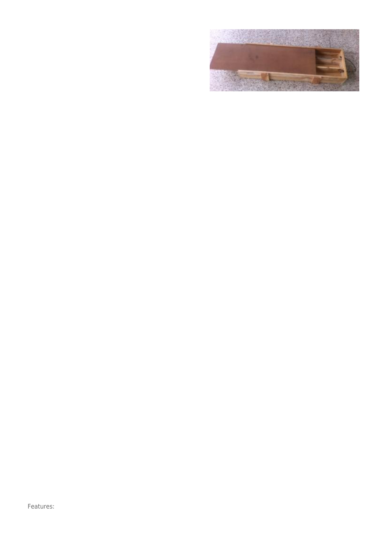